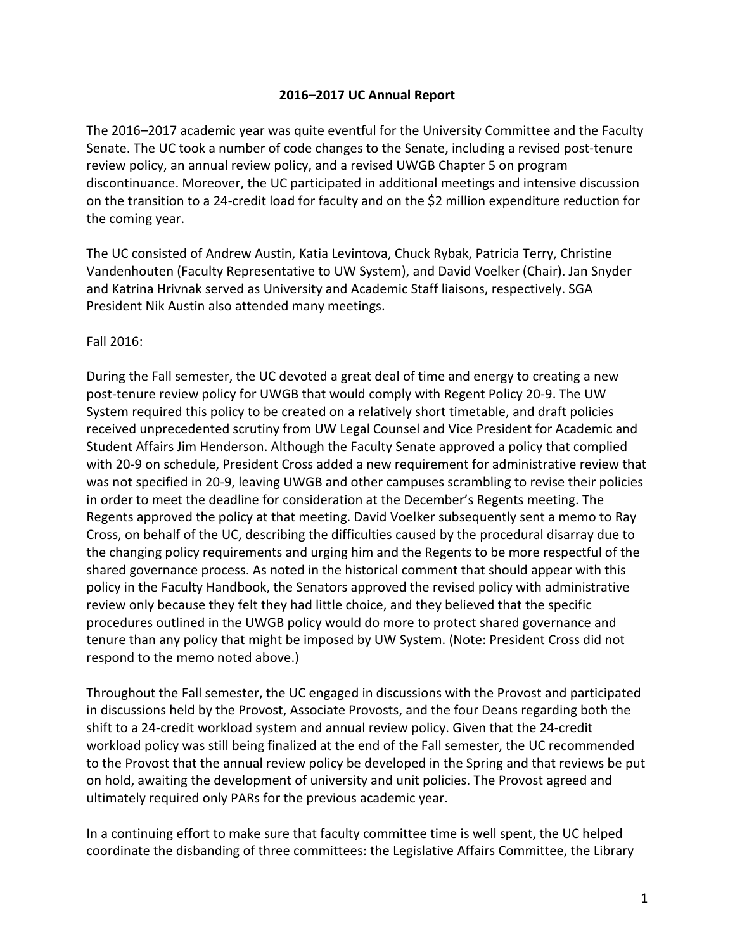## **2016–2017 UC Annual Report**

The 2016–2017 academic year was quite eventful for the University Committee and the Faculty Senate. The UC took a number of code changes to the Senate, including a revised post-tenure review policy, an annual review policy, and a revised UWGB Chapter 5 on program discontinuance. Moreover, the UC participated in additional meetings and intensive discussion on the transition to a 24-credit load for faculty and on the \$2 million expenditure reduction for the coming year.

The UC consisted of Andrew Austin, Katia Levintova, Chuck Rybak, Patricia Terry, Christine Vandenhouten (Faculty Representative to UW System), and David Voelker (Chair). Jan Snyder and Katrina Hrivnak served as University and Academic Staff liaisons, respectively. SGA President Nik Austin also attended many meetings.

Fall 2016:

During the Fall semester, the UC devoted a great deal of time and energy to creating a new post-tenure review policy for UWGB that would comply with Regent Policy 20-9. The UW System required this policy to be created on a relatively short timetable, and draft policies received unprecedented scrutiny from UW Legal Counsel and Vice President for Academic and Student Affairs Jim Henderson. Although the Faculty Senate approved a policy that complied with 20-9 on schedule, President Cross added a new requirement for administrative review that was not specified in 20-9, leaving UWGB and other campuses scrambling to revise their policies in order to meet the deadline for consideration at the December's Regents meeting. The Regents approved the policy at that meeting. David Voelker subsequently sent a memo to Ray Cross, on behalf of the UC, describing the difficulties caused by the procedural disarray due to the changing policy requirements and urging him and the Regents to be more respectful of the shared governance process. As noted in the historical comment that should appear with this policy in the Faculty Handbook, the Senators approved the revised policy with administrative review only because they felt they had little choice, and they believed that the specific procedures outlined in the UWGB policy would do more to protect shared governance and tenure than any policy that might be imposed by UW System. (Note: President Cross did not respond to the memo noted above.)

Throughout the Fall semester, the UC engaged in discussions with the Provost and participated in discussions held by the Provost, Associate Provosts, and the four Deans regarding both the shift to a 24-credit workload system and annual review policy. Given that the 24-credit workload policy was still being finalized at the end of the Fall semester, the UC recommended to the Provost that the annual review policy be developed in the Spring and that reviews be put on hold, awaiting the development of university and unit policies. The Provost agreed and ultimately required only PARs for the previous academic year.

In a continuing effort to make sure that faculty committee time is well spent, the UC helped coordinate the disbanding of three committees: the Legislative Affairs Committee, the Library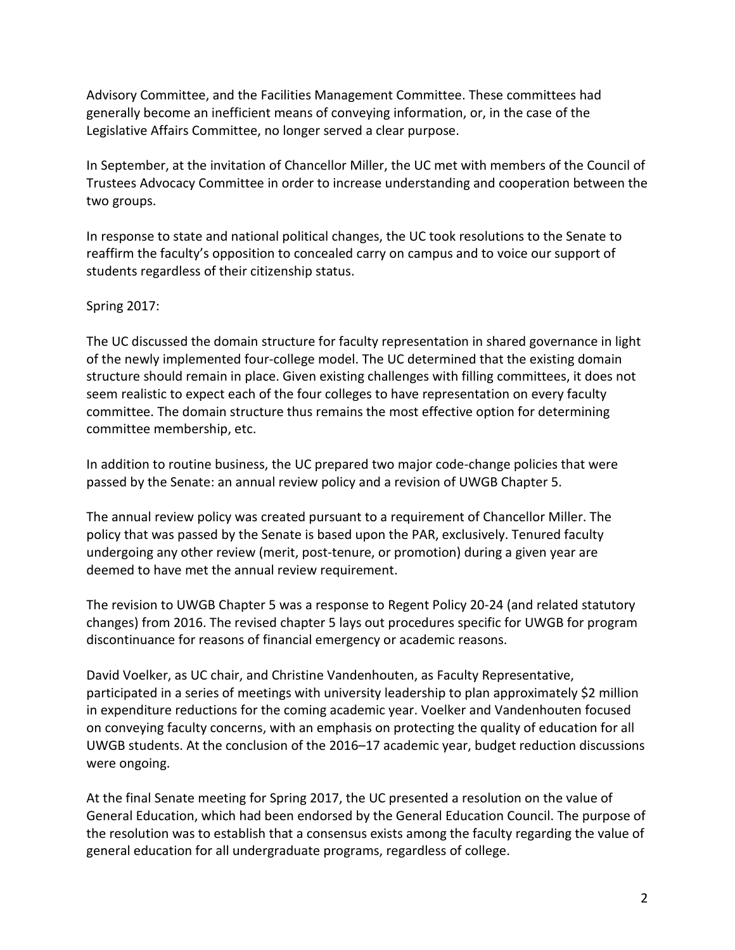Advisory Committee, and the Facilities Management Committee. These committees had generally become an inefficient means of conveying information, or, in the case of the Legislative Affairs Committee, no longer served a clear purpose.

In September, at the invitation of Chancellor Miller, the UC met with members of the Council of Trustees Advocacy Committee in order to increase understanding and cooperation between the two groups.

In response to state and national political changes, the UC took resolutions to the Senate to reaffirm the faculty's opposition to concealed carry on campus and to voice our support of students regardless of their citizenship status.

## Spring 2017:

The UC discussed the domain structure for faculty representation in shared governance in light of the newly implemented four-college model. The UC determined that the existing domain structure should remain in place. Given existing challenges with filling committees, it does not seem realistic to expect each of the four colleges to have representation on every faculty committee. The domain structure thus remains the most effective option for determining committee membership, etc.

In addition to routine business, the UC prepared two major code-change policies that were passed by the Senate: an annual review policy and a revision of UWGB Chapter 5.

The annual review policy was created pursuant to a requirement of Chancellor Miller. The policy that was passed by the Senate is based upon the PAR, exclusively. Tenured faculty undergoing any other review (merit, post-tenure, or promotion) during a given year are deemed to have met the annual review requirement.

The revision to UWGB Chapter 5 was a response to Regent Policy 20-24 (and related statutory changes) from 2016. The revised chapter 5 lays out procedures specific for UWGB for program discontinuance for reasons of financial emergency or academic reasons.

David Voelker, as UC chair, and Christine Vandenhouten, as Faculty Representative, participated in a series of meetings with university leadership to plan approximately \$2 million in expenditure reductions for the coming academic year. Voelker and Vandenhouten focused on conveying faculty concerns, with an emphasis on protecting the quality of education for all UWGB students. At the conclusion of the 2016–17 academic year, budget reduction discussions were ongoing.

At the final Senate meeting for Spring 2017, the UC presented a resolution on the value of General Education, which had been endorsed by the General Education Council. The purpose of the resolution was to establish that a consensus exists among the faculty regarding the value of general education for all undergraduate programs, regardless of college.